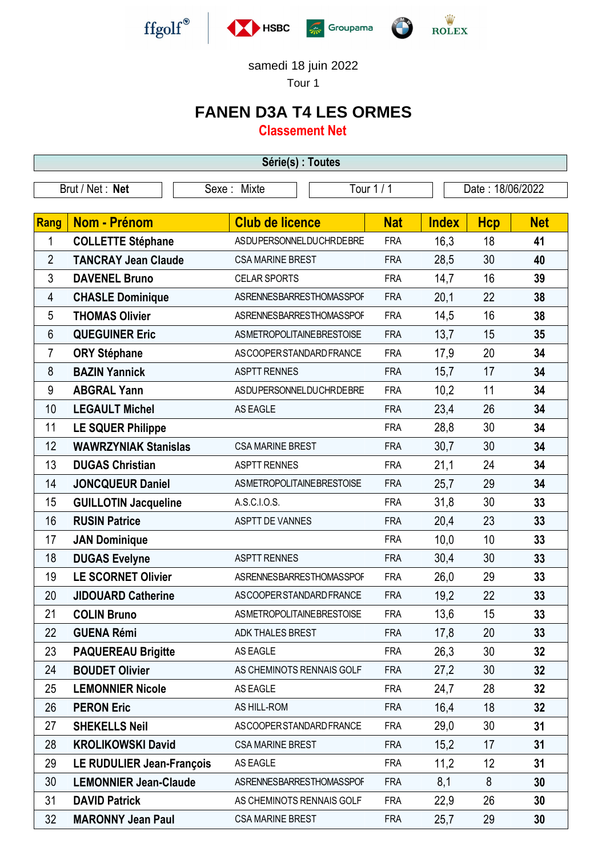



## samedi 18 juin 2022

Tour 1

## **FANEN D3A T4 LES ORMES**

**Classement Net**

| Série(s) : Toutes |                                  |  |                                  |  |            |                  |            |            |  |  |  |
|-------------------|----------------------------------|--|----------------------------------|--|------------|------------------|------------|------------|--|--|--|
| Brut / Net: Net   |                                  |  | Tour 1 / 1<br>Sexe: Mixte        |  |            | Date: 18/06/2022 |            |            |  |  |  |
|                   |                                  |  |                                  |  |            |                  |            |            |  |  |  |
| Rang              | <b>Nom - Prénom</b>              |  | <b>Club de licence</b>           |  | <b>Nat</b> | <b>Index</b>     | <b>Hcp</b> | <b>Net</b> |  |  |  |
| 1                 | <b>COLLETTE Stéphane</b>         |  | ASDUPERSONNELDUCHRDEBRE          |  | <b>FRA</b> | 16,3             | 18         | 41         |  |  |  |
| $\overline{2}$    | <b>TANCRAY Jean Claude</b>       |  | <b>CSA MARINE BREST</b>          |  | <b>FRA</b> | 28,5             | 30         | 40         |  |  |  |
| 3                 | <b>DAVENEL Bruno</b>             |  | <b>CELAR SPORTS</b>              |  | <b>FRA</b> | 14,7             | 16         | 39         |  |  |  |
| 4                 | <b>CHASLE Dominique</b>          |  | ASRENNESBARRESTHOMASSPOF         |  | <b>FRA</b> | 20,1             | 22         | 38         |  |  |  |
| 5                 | <b>THOMAS Olivier</b>            |  | ASRENNESBARRESTHOMASSPOF         |  | <b>FRA</b> | 14,5             | 16         | 38         |  |  |  |
| 6                 | <b>QUEGUINER Eric</b>            |  | ASMETROPOLITAINEBRESTOISE        |  | <b>FRA</b> | 13,7             | 15         | 35         |  |  |  |
| 7                 | <b>ORY Stéphane</b>              |  | ASCOOPER STANDARD FRANCE         |  | <b>FRA</b> | 17,9             | 20         | 34         |  |  |  |
| 8                 | <b>BAZIN Yannick</b>             |  | <b>ASPTT RENNES</b>              |  | <b>FRA</b> | 15,7             | 17         | 34         |  |  |  |
| 9                 | <b>ABGRAL Yann</b>               |  | ASDUPERSONNELDUCHRDEBRE          |  | <b>FRA</b> | 10,2             | 11         | 34         |  |  |  |
| 10                | <b>LEGAULT Michel</b>            |  | AS EAGLE                         |  | <b>FRA</b> | 23,4             | 26         | 34         |  |  |  |
| 11                | <b>LE SQUER Philippe</b>         |  |                                  |  | <b>FRA</b> | 28,8             | 30         | 34         |  |  |  |
| 12                | <b>WAWRZYNIAK Stanislas</b>      |  | <b>CSA MARINE BREST</b>          |  | <b>FRA</b> | 30,7             | 30         | 34         |  |  |  |
| 13                | <b>DUGAS Christian</b>           |  | <b>ASPTT RENNES</b>              |  | <b>FRA</b> | 21,1             | 24         | 34         |  |  |  |
| 14                | <b>JONCQUEUR Daniel</b>          |  | ASMETROPOLITAINEBRESTOISE        |  | <b>FRA</b> | 25,7             | 29         | 34         |  |  |  |
| 15                | <b>GUILLOTIN Jacqueline</b>      |  | A.S.C.I.O.S.                     |  | <b>FRA</b> | 31,8             | 30         | 33         |  |  |  |
| 16                | <b>RUSIN Patrice</b>             |  | ASPTT DE VANNES                  |  | <b>FRA</b> | 20,4             | 23         | 33         |  |  |  |
| 17                | <b>JAN Dominique</b>             |  |                                  |  | <b>FRA</b> | 10,0             | 10         | 33         |  |  |  |
| 18                | <b>DUGAS Evelyne</b>             |  | <b>ASPTT RENNES</b>              |  | <b>FRA</b> | 30,4             | 30         | 33         |  |  |  |
| 19                | <b>LE SCORNET Olivier</b>        |  | ASRENNESBARRESTHOMASSPOF         |  | <b>FRA</b> | 26,0             | 29         | 33         |  |  |  |
| 20                | <b>JIDOUARD Catherine</b>        |  | ASCOOPER STANDARD FRANCE         |  | <b>FRA</b> | 19,2             | 22         | 33         |  |  |  |
| 21                | <b>COLIN Bruno</b>               |  | <b>ASMETROPOLITAINEBRESTOISE</b> |  | <b>FRA</b> | 13,6             | 15         | 33         |  |  |  |
| 22                | <b>GUENA Rémi</b>                |  | ADK THALES BREST                 |  | <b>FRA</b> | 17,8             | 20         | 33         |  |  |  |
| 23                | <b>PAQUEREAU Brigitte</b>        |  | AS EAGLE                         |  | <b>FRA</b> | 26,3             | 30         | 32         |  |  |  |
| 24                | <b>BOUDET Olivier</b>            |  | AS CHEMINOTS RENNAIS GOLF        |  | <b>FRA</b> | 27,2             | 30         | 32         |  |  |  |
| 25                | <b>LEMONNIER Nicole</b>          |  | AS EAGLE                         |  | <b>FRA</b> | 24,7             | 28         | 32         |  |  |  |
| 26                | <b>PERON Eric</b>                |  | AS HILL-ROM                      |  | <b>FRA</b> | 16,4             | 18         | 32         |  |  |  |
| 27                | <b>SHEKELLS Neil</b>             |  | ASCOOPER STANDARD FRANCE         |  | <b>FRA</b> | 29,0             | 30         | 31         |  |  |  |
| 28                | <b>KROLIKOWSKI David</b>         |  | <b>CSA MARINE BREST</b>          |  | <b>FRA</b> | 15,2             | 17         | 31         |  |  |  |
| 29                | <b>LE RUDULIER Jean-François</b> |  | AS EAGLE                         |  | <b>FRA</b> | 11,2             | 12         | 31         |  |  |  |
| 30                | <b>LEMONNIER Jean-Claude</b>     |  | ASRENNESBARRESTHOMASSPOF         |  | <b>FRA</b> | 8,1              | 8          | 30         |  |  |  |
| 31                | <b>DAVID Patrick</b>             |  | AS CHEMINOTS RENNAIS GOLF        |  | <b>FRA</b> | 22,9             | 26         | 30         |  |  |  |
| 32                | <b>MARONNY Jean Paul</b>         |  | <b>CSA MARINE BREST</b>          |  | <b>FRA</b> | 25,7             | 29         | 30         |  |  |  |